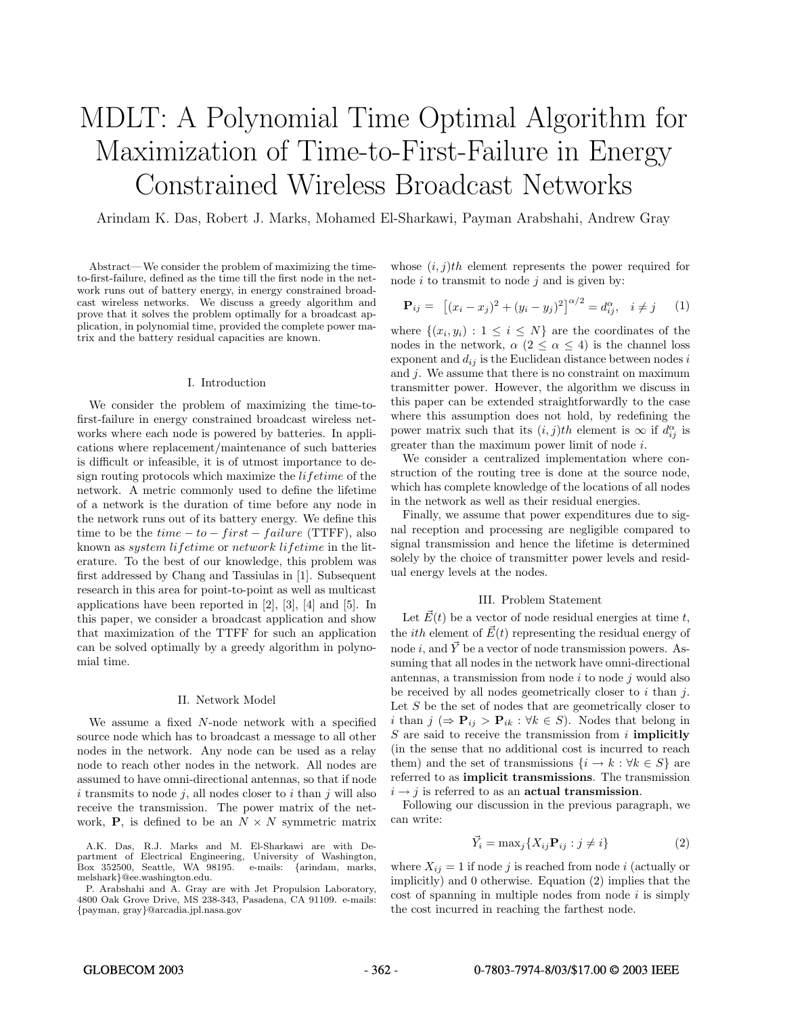# MDLT: A Polynomial Time Optimal Algorithm for Maximization of Time-to-First-Failure in Energy Constrained Wireless Broadcast Networks

Arindam K. Das, Robert J. Marks, Mohamed El-Sharkawi, Payman Arabshahi, Andrew Gray

Abstract—We consider the problem of maximizing the timeto-first-failure, defined as the time till the first node in the network runs out of battery energy, in energy constrained broadcast wireless networks. We discuss a greedy algorithm and prove that it solves the problem optimally for a broadcast application, in polynomial time, provided the complete power matrix and the battery residual capacities are known.

# I. Introduction

We consider the problem of maximizing the time-tofirst-failure in energy constrained broadcast wireless networks where each node is powered by batteries. In applications where replacement/maintenance of such batteries is difficult or infeasible, it is of utmost importance to design routing protocols which maximize the *lifetime* of the network. A metric commonly used to define the lifetime of a network is the duration of time before any node in the network runs out of its battery energy. We define this time to be the  $time - to - first - failure$  (TTFF), also known as system lifetime or network lifetime in the literature. To the best of our knowledge, this problem was first addressed by Chang and Tassiulas in [1]. Subsequent research in this area for point-to-point as well as multicast applications have been reported in [2], [3], [4] and [5]. In this paper, we consider a broadcast application and show that maximization of the TTFF for such an application can be solved optimally by a greedy algorithm in polynomial time.

#### II. Network Model

We assume a fixed N-node network with a specified source node which has to broadcast a message to all other nodes in the network. Any node can be used as a relay node to reach other nodes in the network. All nodes are assumed to have omni-directional antennas, so that if node i transmits to node j, all nodes closer to i than j will also receive the transmission. The power matrix of the network, **P**, is defined to be an  $N \times N$  symmetric matrix whose  $(i, j)$ th element represents the power required for node  $i$  to transmit to node  $j$  and is given by:

$$
\mathbf{P}_{ij} = [ (x_i - x_j)^2 + (y_i - y_j)^2 ]^{\alpha/2} = d_{ij}^{\alpha}, \quad i \neq j \qquad (1)
$$

where  $\{(x_i, y_i): 1 \leq i \leq N\}$  are the coordinates of the nodes in the network,  $\alpha$  (2  $\leq \alpha \leq$  4) is the channel loss exponent and  $d_{ij}$  is the Euclidean distance between nodes i and  $j$ . We assume that there is no constraint on maximum transmitter power. However, the algorithm we discuss in this paper can be extended straightforwardly to the case where this assumption does not hold, by redefining the power matrix such that its  $(i, j)$ th element is  $\infty$  if  $d_{ij}^{\alpha}$  is greater than the maximum power limit of node i.

We consider a centralized implementation where construction of the routing tree is done at the source node, which has complete knowledge of the locations of all nodes in the network as well as their residual energies.

Finally, we assume that power expenditures due to signal reception and processing are negligible compared to signal transmission and hence the lifetime is determined solely by the choice of transmitter power levels and residual energy levels at the nodes.

# III. Problem Statement

Let  $\vec{E}(t)$  be a vector of node residual energies at time t, the *ith* element of  $\vec{E}(t)$  representing the residual energy of node i, and  $\vec{Y}$  be a vector of node transmission powers. Assuming that all nodes in the network have omni-directional antennas, a transmission from node  $i$  to node  $j$  would also be received by all nodes geometrically closer to  $i$  than  $j$ . Let  $S$  be the set of nodes that are geometrically closer to i than  $j \in \mathbf{P}_{ij} > \mathbf{P}_{ik} : \forall k \in S$ . Nodes that belong in S are said to receive the transmission from i **implicitly** (in the sense that no additional cost is incurred to reach them) and the set of transmissions  $\{i \to k : \forall k \in S\}$  are referred to as **implicit transmissions**. The transmission  $i \rightarrow j$  is referred to as an **actual transmission**.

Following our discussion in the previous paragraph, we can write:

$$
\vec{Y}_i = \max_j \{ X_{ij} \mathbf{P}_{ij} : j \neq i \}
$$
 (2)

where  $X_{ij} = 1$  if node j is reached from node i (actually or implicitly) and 0 otherwise. Equation (2) implies that the  $\cot$  of spanning in multiple nodes from node i is simply the cost incurred in reaching the farthest node.

#### GLOBECOM 2003 - 362 - 0-7803-7974-8/03/\$17.00 © 2003 IEEE

A.K. Das, R.J. Marks and M. El-Sharkawi are with Department of Electrical Engineering, University of Washington, Box 352500, Seattle, WA 98195. e-mails: {arindam, marks, melshark}@ee.washington.edu.

P. Arabshahi and A. Gray are with Jet Propulsion Laboratory, 4800 Oak Grove Drive, MS 238-343, Pasadena, CA 91109. e-mails: {payman, gray}@arcadia.jpl.nasa.gov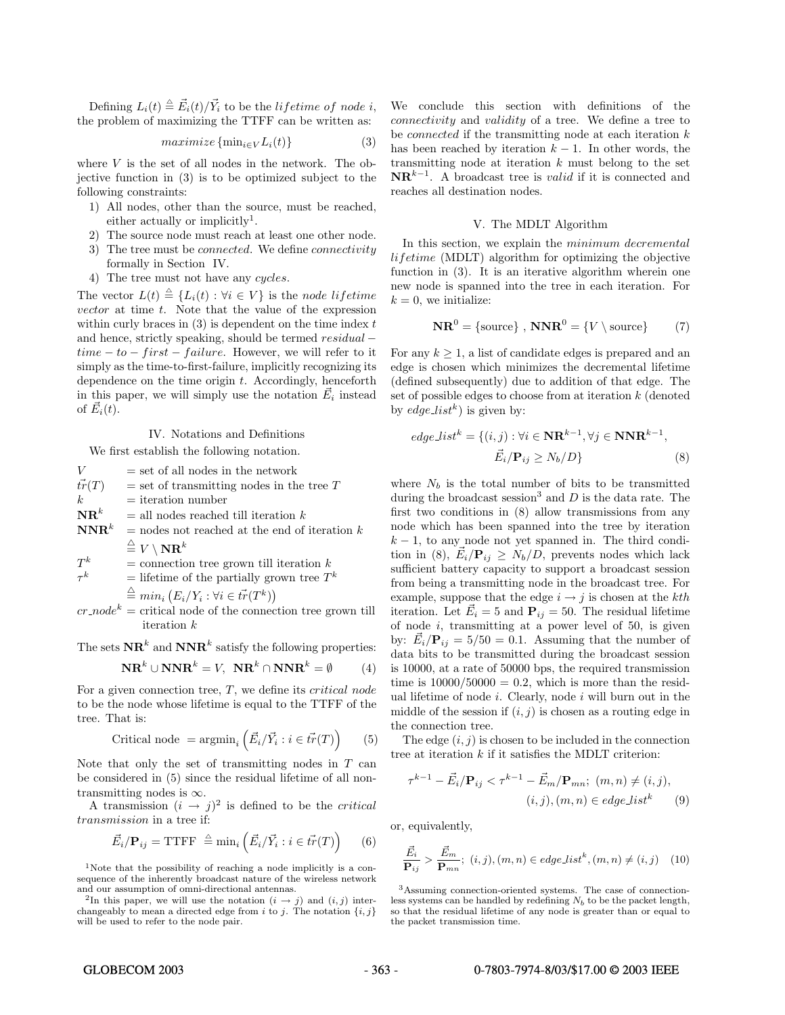Defining  $L_i(t) \triangleq \vec{E}_i(t)/\vec{Y}_i$  to be the *lifetime of node i*, the problem of maximizing the TTFF can be written as:

 $maximize \{\min_{i \in V} L_i(t)\}$  (3)

where  $V$  is the set of all nodes in the network. The objective function in (3) is to be optimized subject to the following constraints:

- 1) All nodes, other than the source, must be reached, either actually or implicitly<sup>1</sup>.
- 2) The source node must reach at least one other node.
- 3) The tree must be *connected*. We define *connectivity* formally in Section IV.
- 4) The tree must not have any cycles.

The vector  $L(t) \triangleq \{L_i(t) : \forall i \in V\}$  is the node lifetime vector at time t. Note that the value of the expression within curly braces in  $(3)$  is dependent on the time index t and hence, strictly speaking, should be termed residual −  $time - to - first - failure$ . However, we will refer to it simply as the time-to-first-failure, implicitly recognizing its dependence on the time origin  $t$ . Accordingly, henceforth in this paper, we will simply use the notation  $\vec{E}_i$  instead of  $\vec{E}_i(t)$ .

## IV. Notations and Definitions

We first establish the following notation.

 $V =$  set of all nodes in the network  $\vec{tr}(T)$  $=$  set of transmitting nodes in the tree T  $k =$ iteration number  $\mathbf{NR}^k$  = all nodes reached till iteration k  $\mathbf{NNR}^k$  = nodes not reached at the end of iteration k  $\stackrel{\triangle}{=} V \setminus \mathbf{NR}^k$  $T^k$  = connection tree grown till iteration  $k$ <br>
= lifetime of the partially grown tree  $T^k$ = lifetime of the partially grown tree  $T^k$ 

$$
\stackrel{\triangle}{=} \min_i (E_i/Y_i : \forall i \in \vec{tr}(T^k))
$$
  
cr node<sup>k</sup> - critical node of the connection tré

connection tree grown till iteration  $\boldsymbol{k}$ 

The sets  $\mathbf{NR}^k$  and  $\mathbf{NNR}^k$  satisfy the following properties:

$$
\mathbf{NR}^k \cup \mathbf{NNR}^k = V, \ \mathbf{NR}^k \cap \mathbf{NNR}^k = \emptyset \tag{4}
$$

For a given connection tree,  $T$ , we define its *critical node* to be the node whose lifetime is equal to the TTFF of the tree. That is:

$$
Critical node = argmin_{i} \left( \vec{E}_i / \vec{Y}_i : i \in \vec{tr}(T) \right) \tag{5}
$$

Note that only the set of transmitting nodes in  $T$  can be considered in (5) since the residual lifetime of all nontransmitting nodes is  $\infty$ .

A transmission  $(i \rightarrow j)^2$  is defined to be the *critical* transmission in a tree if:

$$
\vec{E}_i / \mathbf{P}_{ij} = \text{TTFF} \stackrel{\triangle}{=} \min_i \left( \vec{E}_i / \vec{Y}_i : i \in \vec{tr}(T) \right) \tag{6}
$$

<sup>1</sup>Note that the possibility of reaching a node implicitly is a consequence of the inherently broadcast nature of the wireless network and our assumption of omni-directional antennas.

<sup>2</sup>In this paper, we will use the notation  $(i \rightarrow j)$  and  $(i, j)$  interchangeably to mean a directed edge from  $i$  to  $j$ . The notation  $\{i, j\}$ will be used to refer to the node pair.

We conclude this section with definitions of the connectivity and validity of a tree. We define a tree to be *connected* if the transmitting node at each iteration  $k$ has been reached by iteration  $k - 1$ . In other words, the transmitting node at iteration  $k$  must belong to the set  $\mathbf{NR}^{k-1}$ . A broadcast tree is *valid* if it is connected and reaches all destination nodes.

# V. The MDLT Algorithm

In this section, we explain the minimum decremental lifetime (MDLT) algorithm for optimizing the objective function in  $(3)$ . It is an iterative algorithm wherein one new node is spanned into the tree in each iteration. For  $k = 0$ , we initialize:

$$
\mathbf{NR}^0 = \{ \text{source} \}, \ \mathbf{NNR}^0 = \{ V \setminus \text{source} \} \tag{7}
$$

For any  $k \geq 1$ , a list of candidate edges is prepared and an edge is chosen which minimizes the decremental lifetime (defined subsequently) due to addition of that edge. The set of possible edges to choose from at iteration  $k$  (denoted by edge\_list<sup>k</sup>) is given by:

$$
edge\_list^k = \{ (i, j) : \forall i \in \mathbf{NR}^{k-1}, \forall j \in \mathbf{NNR}^{k-1},
$$

$$
\vec{E}_i / \mathbf{P}_{ij} \ge N_b / D \}
$$
(8)

where  $N_b$  is the total number of bits to be transmitted during the broadcast session<sup>3</sup> and  $D$  is the data rate. The first two conditions in (8) allow transmissions from any node which has been spanned into the tree by iteration  $k-1$ , to any node not yet spanned in. The third condition in (8),  $\vec{E}_i / \mathbf{P}_{ij} \ge N_b / D$ , prevents nodes which lack sufficient battery capacity to support a broadcast session from being a transmitting node in the broadcast tree. For example, suppose that the edge  $i \rightarrow j$  is chosen at the kth iteration. Let  $\vec{E}_i = 5$  and  $\mathbf{P}_{ij} = 50$ . The residual lifetime of node  $i$ , transmitting at a power level of 50, is given by:  $\vec{E}_i / \mathbf{P}_{ij} = 5/50 = 0.1$ . Assuming that the number of data bits to be transmitted during the broadcast session is 10000, at a rate of 50000 bps, the required transmission time is  $10000/50000 = 0.2$ , which is more than the residual lifetime of node  $i$ . Clearly, node  $i$  will burn out in the middle of the session if  $(i, j)$  is chosen as a routing edge in the connection tree.

The edge  $(i, j)$  is chosen to be included in the connection tree at iteration  $k$  if it satisfies the MDLT criterion:

$$
\tau^{k-1} - \vec{E}_i / \mathbf{P}_{ij} < \tau^{k-1} - \vec{E}_m / \mathbf{P}_{mn}; \ (m, n) \neq (i, j),
$$
\n
$$
(i, j), (m, n) \in edge\_list^k \tag{9}
$$

or, equivalently,

$$
\frac{\vec{E}_i}{\mathbf{P}_{ij}} > \frac{\vec{E}_m}{\mathbf{P}_{mn}}; (i, j), (m, n) \in edge\_list^k, (m, n) \neq (i, j) \quad (10)
$$

<sup>3</sup>Assuming connection-oriented systems. The case of connectionless systems can be handled by redefining  $N_b$  to be the packet length, so that the residual lifetime of any node is greater than or equal to the packet transmission time.

#### GLOBECOM 2003 - 363 - 363 - 0-7803-7974-8/03/\$17.00 © 2003 IEEE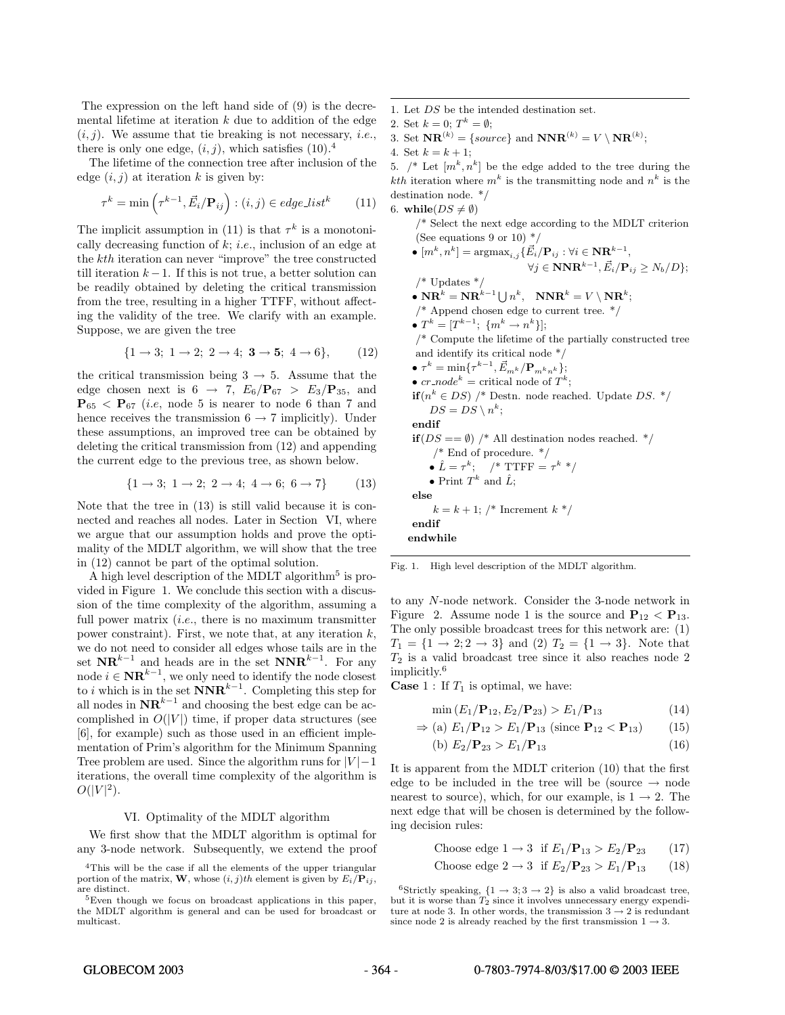The expression on the left hand side of (9) is the decremental lifetime at iteration  $k$  due to addition of the edge  $(i, j)$ . We assume that tie breaking is not necessary, *i.e.*, there is only one edge,  $(i, j)$ , which satisfies  $(10).4$ 

The lifetime of the connection tree after inclusion of the edge  $(i, j)$  at iteration k is given by:

$$
\tau^{k} = \min\left(\tau^{k-1}, \vec{E_i} / \mathbf{P}_{ij}\right) : (i, j) \in edge\_list^{k} \tag{11}
$$

The implicit assumption in (11) is that  $\tau^k$  is a monotonically decreasing function of  $k$ ; *i.e.*, inclusion of an edge at the kth iteration can never "improve" the tree constructed till iteration  $k - 1$ . If this is not true, a better solution can be readily obtained by deleting the critical transmission from the tree, resulting in a higher TTFF, without affecting the validity of the tree. We clarify with an example. Suppose, we are given the tree

$$
\{1 \to 3; \ 1 \to 2; \ 2 \to 4; \ 3 \to 5; \ 4 \to 6\},\tag{12}
$$

the critical transmission being  $3 \rightarrow 5$ . Assume that the edge chosen next is  $6 \rightarrow 7$ ,  $E_6/P_{67} > E_3/P_{35}$ , and  $\mathbf{P}_{65}$  <  $\mathbf{P}_{67}$  (*i.e.*, node 5 is nearer to node 6 than 7 and hence receives the transmission  $6 \rightarrow 7$  implicitly). Under these assumptions, an improved tree can be obtained by deleting the critical transmission from (12) and appending the current edge to the previous tree, as shown below.

$$
\{1 \to 3; \ 1 \to 2; \ 2 \to 4; \ 4 \to 6; \ 6 \to 7\} \tag{13}
$$

Note that the tree in (13) is still valid because it is connected and reaches all nodes. Later in Section VI, where we argue that our assumption holds and prove the optimality of the MDLT algorithm, we will show that the tree in (12) cannot be part of the optimal solution.

A high level description of the MDLT algorithm<sup>5</sup> is provided in Figure 1. We conclude this section with a discussion of the time complexity of the algorithm, assuming a full power matrix  $(i.e.,$  there is no maximum transmitter power constraint). First, we note that, at any iteration  $k$ , we do not need to consider all edges whose tails are in the set  $\mathbf{NR}^{k-1}$  and heads are in the set  $\mathbf{NNR}^{k-1}$ . For any node  $i \in \mathbf{NR}^{k-1}$ , we only need to identify the node closest to *i* which is in the set **NNR**<sup>k−1</sup>. Completing this step for all nodes in  $\mathbf{NR}^{k-1}$  and choosing the best edge can be accomplished in  $O(|V|)$  time, if proper data structures (see [6], for example) such as those used in an efficient implementation of Prim's algorithm for the Minimum Spanning Tree problem are used. Since the algorithm runs for  $|V| - 1$ iterations, the overall time complexity of the algorithm is  $O(|V|^2)$ .

#### VI. Optimality of the MDLT algorithm

We first show that the MDLT algorithm is optimal for any 3-node network. Subsequently, we extend the proof

- 1. Let DS be the intended destination set.
- 2. Set  $k = 0$ ;  $T^k = \emptyset$ ;

3. Set  $\mathbf{NR}^{(k)} = \{source\}$  and  $\mathbf{NNR}^{(k)} = V \setminus \mathbf{NR}^{(k)}$ ;

4. Set  $k = k + 1$ ;

5.  $\mathcal{A}^*$  Let  $[m^k, n^k]$  be the edge added to the tree during the *kth* iteration where  $m^k$  is the transmitting node and  $n^k$  is the destination node. \*/ 6. while( $DS \neq \emptyset$ )

/\* Select the next edge according to the MDLT criterion (See equations 9 or 10)  $*/$ 

• [m*<sup>k</sup>*, n*<sup>k</sup>*] = argmax*i,j*{E*i*/**P***ij* : <sup>∀</sup><sup>i</sup> <sup>∈</sup> **NR***<sup>k</sup>−*<sup>1</sup>,  $\forall j \in \mathbf{NNR}^{k-1}, \vec{E}_i/\mathbf{P}_{ij} \geq N_b/D$ ;  $/*$  Updates  $*/$ •  $\mathbf{NR}^k = \mathbf{NR}^{k-1} \bigcup n^k$ ,  $\mathbf{NNR}^k = V \setminus \mathbf{NR}^k$ ;  $\text{/}^*$  Append chosen edge to current tree.  $\text{*}/$ •  $T^k = [T^{k-1}; \{m^k \to n^k\}];$ /\* Compute the lifetime of the partially constructed tree and identify its critical node \*/  $\bullet$   $\tau^{k} = \min\{\tau^{k-1}, \vec{E}_{m^{k}}/\mathbf{P}_{m^{k}n^{k}}\};$ •  $cr$  *node*<sup>k</sup> = critical node of  $T^k$ ; **if**( $n^k$  ∈ DS) /\* Destn. node reached. Update DS. \*/  $DS = DS \setminus n^k$ ; **endif if**  $(DS == \emptyset)$  /\* All destination nodes reached. \*/  $/*$  End of procedure.  $*/$ •  $\hat{L} = \tau^k$ ; /\* TTFF =  $\tau^k$  \*/ • Print  $T^k$  and  $\hat{L}$ ; **else**  $k = k + 1$ ; /\* Increment  $k *$ / **endif endwhile**

Fig. 1. High level description of the MDLT algorithm.

to any N-node network. Consider the 3-node network in Figure 2. Assume node 1 is the source and  $P_{12} < P_{13}$ . The only possible broadcast trees for this network are: (1)  $T_1 = \{1 \to 2; 2 \to 3\}$  and  $(2)$   $T_2 = \{1 \to 3\}$ . Note that  $T_2$  is a valid broadcast tree since it also reaches node 2 implicitly.<sup>6</sup>

**Case** 1 : If  $T_1$  is optimal, we have:

$$
\min(E_1/\mathbf{P}_{12}, E_2/\mathbf{P}_{23}) > E_1/\mathbf{P}_{13}
$$
 (14)

$$
\Rightarrow \text{(a) } E_1/\mathbf{P}_{12} > E_1/\mathbf{P}_{13} \text{ (since } \mathbf{P}_{12} < \mathbf{P}_{13}) \tag{15}
$$

(b) 
$$
E_2/\mathbf{P}_{23} > E_1/\mathbf{P}_{13}
$$
 (16)

It is apparent from the MDLT criterion (10) that the first edge to be included in the tree will be (source  $\rightarrow$  node nearest to source), which, for our example, is  $1 \rightarrow 2$ . The next edge that will be chosen is determined by the following decision rules:

Choose edge 
$$
1 \rightarrow 3
$$
 if  $E_1/\mathbf{P}_{13} > E_2/\mathbf{P}_{23}$  (17)

Choose edge 
$$
2 \to 3
$$
 if  $E_2/\mathbf{P}_{23} > E_1/\mathbf{P}_{13}$  (18)

<sup>6</sup>Strictly speaking,  $\{1 \rightarrow 3; 3 \rightarrow 2\}$  is also a valid broadcast tree, but it is worse than  $T_2$  since it involves unnecessary energy expenditure at node 3. In other words, the transmission  $3 \rightarrow 2$  is redundant since node 2 is already reached by the first transmission  $1 \rightarrow 3$ .

<sup>4</sup>This will be the case if all the elements of the upper triangular portion of the matrix, **W**, whose  $(i, j)$ th element is given by  $E_i/\mathbf{P}_{ij}$ , are distinct.

 ${}^{5}$ Even though we focus on broadcast applications in this paper, the MDLT algorithm is general and can be used for broadcast or multicast.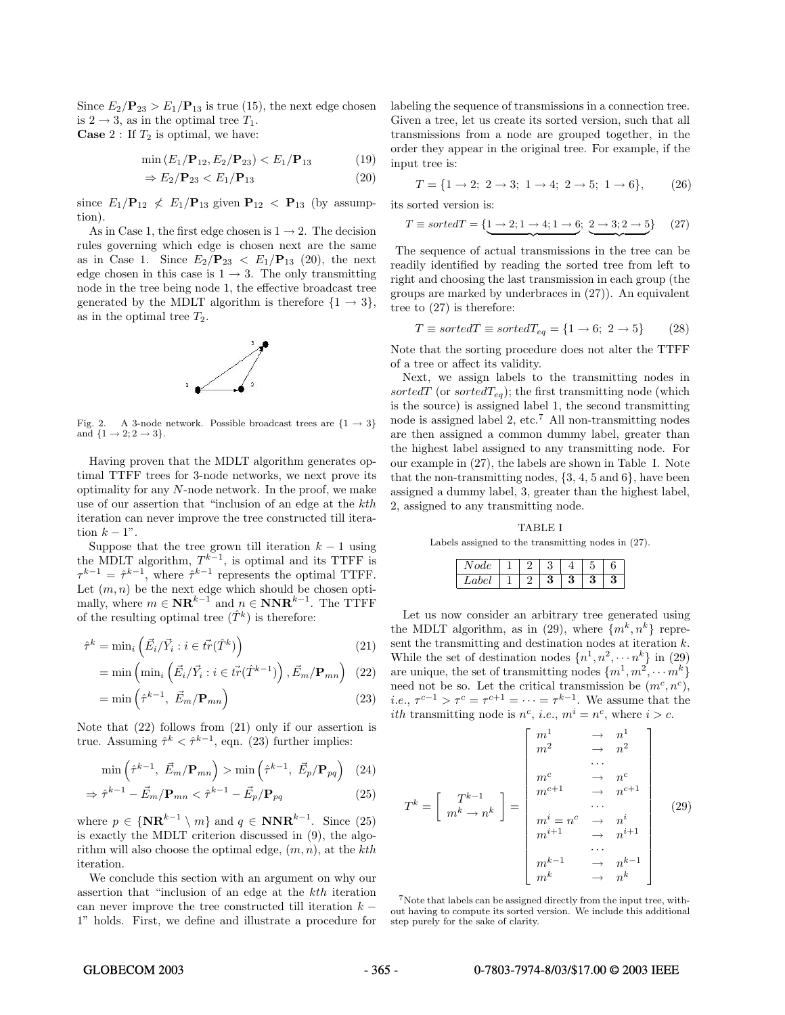Since  $E_2/\mathbf{P}_{23} > E_1/\mathbf{P}_{13}$  is true (15), the next edge chosen is  $2 \rightarrow 3$ , as in the optimal tree  $T_1$ . **Case** 2 : If  $T_2$  is optimal, we have:

$$
\min(E_1/\mathbf{P}_{12}, E_2/\mathbf{P}_{23}) < E_1/\mathbf{P}_{13} \tag{19}
$$

$$
\Rightarrow E_2/\mathbf{P}_{23} < E_1/\mathbf{P}_{13} \tag{20}
$$

since  $E_1/\mathbf{P}_{12} \nless E_1/\mathbf{P}_{13}$  given  $\mathbf{P}_{12} \nless \mathbf{P}_{13}$  (by assumption).

As in Case 1, the first edge chosen is  $1 \rightarrow 2$ . The decision rules governing which edge is chosen next are the same as in Case 1. Since  $E_2/\mathbf{P}_{23} < E_1/\mathbf{P}_{13}$  (20), the next edge chosen in this case is  $1 \rightarrow 3$ . The only transmitting node in the tree being node 1, the effective broadcast tree generated by the MDLT algorithm is therefore  $\{1 \rightarrow 3\},\$ as in the optimal tree  $T_2$ .



Fig. 2. A 3-node network. Possible broadcast trees are  $\{1 \rightarrow 3\}$ and  ${1 \rightarrow 2; 2 \rightarrow 3}.$ 

Having proven that the MDLT algorithm generates optimal TTFF trees for 3-node networks, we next prove its optimality for any N-node network. In the proof, we make use of our assertion that "inclusion of an edge at the kth iteration can never improve the tree constructed till iteration  $k - 1$ ".

Suppose that the tree grown till iteration  $k - 1$  using the MDLT algorithm,  $T^{k-1}$ , is optimal and its TTFF is  $\tau^{k-1} = \hat{\tau}^{k-1}$ , where  $\hat{\tau}^{k-1}$  represents the optimal TTFF. Let  $(m, n)$  be the next edge which should be chosen optimally, where  $m \in \mathbf{NR}^{k-1}$  and  $n \in \mathbf{NNR}^{k-1}$ . The TTFF of the resulting optimal tree  $(\hat{T}^k)$  is therefore:

$$
\hat{\tau}^k = \min_i \left( \vec{E}_i / \vec{Y}_i : i \in \vec{tr}(\hat{T}^k) \right)
$$
\n(21)

$$
= \min\left(\min_{i} \left(\vec{E}_i / \vec{Y}_i : i \in \vec{tr}(\hat{T}^{k-1})\right), \vec{E}_m / \mathbf{P}_{mn}\right) (22)
$$

$$
= \min\left(\hat{\tau}^{k-1}, \ \vec{E}_m / \mathbf{P}_{mn}\right) \tag{23}
$$

Note that (22) follows from (21) only if our assertion is true. Assuming  $\hat{\tau}^k < \hat{\tau}^{k-1}$ , eqn. (23) further implies:

$$
\min\left(\hat{\tau}^{k-1}, \ \vec{E}_m/\mathbf{P}_{mn}\right) > \min\left(\hat{\tau}^{k-1}, \ \vec{E}_p/\mathbf{P}_{pq}\right) \tag{24}
$$

$$
\Rightarrow \hat{\tau}^{k-1} - \vec{E}_m / \mathbf{P}_{mn} < \hat{\tau}^{k-1} - \vec{E}_p / \mathbf{P}_{pq} \tag{25}
$$

where  $p \in {\bf{NR}}^{k-1} \setminus m$  and  $q \in {\bf{NNR}}^{k-1}$ . Since (25) is exactly the MDLT criterion discussed in (9), the algorithm will also choose the optimal edge,  $(m, n)$ , at the kth iteration.

We conclude this section with an argument on why our assertion that "inclusion of an edge at the kth iteration can never improve the tree constructed till iteration  $k -$ 1" holds. First, we define and illustrate a procedure for labeling the sequence of transmissions in a connection tree. Given a tree, let us create its sorted version, such that all transmissions from a node are grouped together, in the order they appear in the original tree. For example, if the input tree is:

$$
T = \{1 \to 2; \ 2 \to 3; \ 1 \to 4; \ 2 \to 5; \ 1 \to 6\},\tag{26}
$$

its sorted version is:

$$
T \equiv sorted = \{ \underbrace{1 \rightarrow 2; 1 \rightarrow 4; 1 \rightarrow 6; 2 \rightarrow 3; 2 \rightarrow 5}_{\sim} \} \quad (27)
$$

The sequence of actual transmissions in the tree can be readily identified by reading the sorted tree from left to right and choosing the last transmission in each group (the groups are marked by underbraces in (27)). An equivalent tree to (27) is therefore:

$$
T \equiv sortedT \equiv sortedT_{eq} = \{1 \rightarrow 6; 2 \rightarrow 5\} \tag{28}
$$

Note that the sorting procedure does not alter the TTFF of a tree or affect its validity.

Next, we assign labels to the transmitting nodes in sortedT (or sorted $T_{eq}$ ); the first transmitting node (which is the source) is assigned label 1, the second transmitting node is assigned label 2, etc.<sup>7</sup> All non-transmitting nodes are then assigned a common dummy label, greater than the highest label assigned to any transmitting node. For our example in (27), the labels are shown in Table I. Note that the non-transmitting nodes,  $\{3, 4, 5 \text{ and } 6\}$ , have been assigned a dummy label, 3, greater than the highest label, 2, assigned to any transmitting node.

TABLE I Labels assigned to the transmitting nodes in (27).

| ode  | - | U |   | U      |
|------|---|---|---|--------|
| abel | – | ப | J | ഩ<br>J |

Let us now consider an arbitrary tree generated using the MDLT algorithm, as in (29), where  $\{m^k, n^k\}$  represent the transmitting and destination nodes at iteration k. While the set of destination nodes  $\{n^1, n^2, \dots n^k\}$  in (29) are unique, the set of transmitting nodes  $\{m^1, m^2, \cdots m^k\}$ need not be so. Let the critical transmission be  $(m^c, n^c)$ , *i.e.*,  $\tau^{c-1} > \tau^c = \tau^{c+1} = \cdots = \tau^{k-1}$ . We assume that the *ith* transmitting node is  $n^c$ , *i.e.*,  $m^i = n^c$ , where  $i > c$ .

$$
T^{k} = \left[\begin{array}{ccc} T^{k-1} & & m^{1} & & \rightarrow & n^{1} \\ m^{2} & & & \rightarrow & n^{2} \\ \vdots & & & \ddots & \\ m^{c} & & & & n^{c+1} \\ m^{c+1} & & & & \cdots \\ m^{i} = n^{c} & & & n^{i+1} \\ m^{i+1} & & & & n^{i+1} \\ \vdots & & & & \ddots & \\ m^{k-1} & & & & n^{k-1} \\ m^{k} & & & & & n^{k} \end{array}\right] \tag{29}
$$

<sup>7</sup>Note that labels can be assigned directly from the input tree, without having to compute its sorted version. We include this additional step purely for the sake of clarity.

# GLOBECOM 2003 - 365 - 365 - 0-7803-7974-8/03/\$17.00 © 2003 IEEE